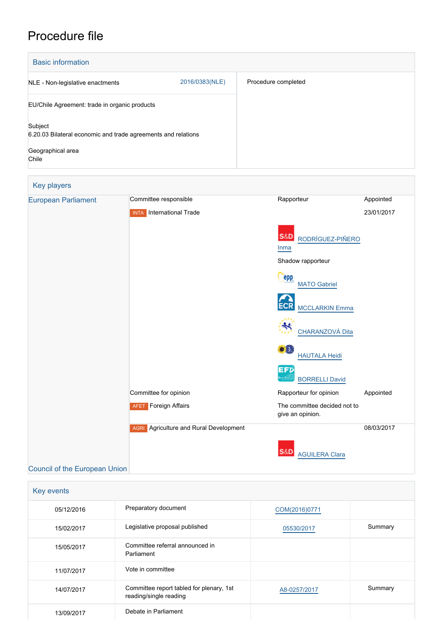# Procedure file

| <b>Basic information</b>                                                 |                |                     |
|--------------------------------------------------------------------------|----------------|---------------------|
| NLE - Non-legislative enactments                                         | 2016/0383(NLE) | Procedure completed |
| EU/Chile Agreement: trade in organic products                            |                |                     |
| Subject<br>6.20.03 Bilateral economic and trade agreements and relations |                |                     |
| Geographical area<br>Chile                                               |                |                     |

## Key players [European Parliament](http://www.europarl.europa.eu/) Committee responsible Rapporteur Rapporteur Appointed **INTA** International Trade 23/01/2017 **S&D**  [RODRÍGUEZ-PIÑERO](http://www.europarl.europa.eu/meps/en/125043) [Inma](http://www.europarl.europa.eu/meps/en/125043) Shadow rapporteur epp [MATO Gabriel](http://www.europarl.europa.eu/meps/en/96936) **CR**  [MCCLARKIN Emma](http://www.europarl.europa.eu/meps/en/96919) [CHARANZOVÁ Dita](http://www.europarl.europa.eu/meps/en/124708)  $\bullet$  [HAUTALA Heidi](http://www.europarl.europa.eu/meps/en/2054) EFD [BORRELLI David](http://www.europarl.europa.eu/meps/en/124796) Committee for opinion **Committee for opinion** Rapporteur for opinion Appointed **AFET** Foreign Affairs **The committee decided not to** give an opinion. **AGRI** Agriculture and Rural Development 08/03/2017 **S&D** [AGUILERA Clara](http://www.europarl.europa.eu/meps/en/125045)

### [Council of the European Union](http://www.consilium.europa.eu)

| Key events |                                                                    |               |         |  |
|------------|--------------------------------------------------------------------|---------------|---------|--|
| 05/12/2016 | Preparatory document                                               | COM(2016)0771 |         |  |
| 15/02/2017 | Legislative proposal published                                     | 05530/2017    | Summary |  |
| 15/05/2017 | Committee referral announced in<br>Parliament                      |               |         |  |
| 11/07/2017 | Vote in committee                                                  |               |         |  |
| 14/07/2017 | Committee report tabled for plenary, 1st<br>reading/single reading | A8-0257/2017  | Summary |  |
| 13/09/2017 | Debate in Parliament                                               |               |         |  |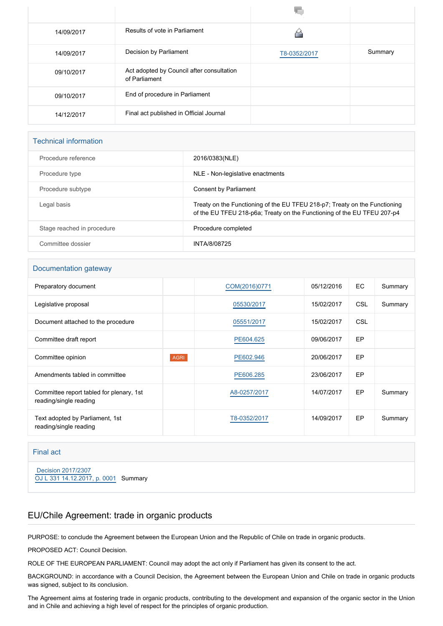| 14/09/2017 | Results of vote in Parliament                              |              |         |
|------------|------------------------------------------------------------|--------------|---------|
| 14/09/2017 | Decision by Parliament                                     | T8-0352/2017 | Summary |
| 09/10/2017 | Act adopted by Council after consultation<br>of Parliament |              |         |
| 09/10/2017 | End of procedure in Parliament                             |              |         |
| 14/12/2017 | Final act published in Official Journal                    |              |         |

#### Technical information

| Procedure reference        | 2016/0383(NLE)                                                                                                                                        |
|----------------------------|-------------------------------------------------------------------------------------------------------------------------------------------------------|
| Procedure type             | NLE - Non-legislative enactments                                                                                                                      |
| Procedure subtype          | Consent by Parliament                                                                                                                                 |
| Legal basis                | Treaty on the Functioning of the EU TFEU 218-p7; Treaty on the Functioning<br>of the EU TFEU 218-p6a; Treaty on the Functioning of the EU TFEU 207-p4 |
| Stage reached in procedure | Procedure completed                                                                                                                                   |
| Committee dossier          | INTA/8/08725                                                                                                                                          |

#### Documentation gateway

| Preparatory document                                               |             | COM(2016)0771 | 05/12/2016 | EC         | Summary |
|--------------------------------------------------------------------|-------------|---------------|------------|------------|---------|
| Legislative proposal                                               |             | 05530/2017    | 15/02/2017 | CSL        | Summary |
| Document attached to the procedure                                 |             | 05551/2017    | 15/02/2017 | <b>CSL</b> |         |
| Committee draft report                                             |             | PE604.625     | 09/06/2017 | EP         |         |
| Committee opinion                                                  | <b>AGRI</b> | PE602.946     | 20/06/2017 | EP         |         |
| Amendments tabled in committee                                     |             | PE606.285     | 23/06/2017 | EP         |         |
| Committee report tabled for plenary, 1st<br>reading/single reading |             | A8-0257/2017  | 14/07/2017 | EP         | Summary |
| Text adopted by Parliament, 1st<br>reading/single reading          |             | T8-0352/2017  | 14/09/2017 | EP         | Summary |

#### Final act

 [Decision 2017/2307](https://eur-lex.europa.eu/smartapi/cgi/sga_doc?smartapi!celexplus!prod!CELEXnumdoc&lg=EN&numdoc=32017D2307) [OJ L 331 14.12.2017, p. 0001](https://eur-lex.europa.eu/legal-content/EN/TXT/?uri=OJ:L:2017:331:TOC) Summary

## EU/Chile Agreement: trade in organic products

PURPOSE: to conclude the Agreement between the European Union and the Republic of Chile on trade in organic products.

PROPOSED ACT: Council Decision.

ROLE OF THE EUROPEAN PARLIAMENT: Council may adopt the act only if Parliament has given its consent to the act.

BACKGROUND: in accordance with a Council Decision, the Agreement between the European Union and Chile on trade in organic products was signed, subject to its conclusion.

The Agreement aims at fostering trade in organic products, contributing to the development and expansion of the organic sector in the Union and in Chile and achieving a high level of respect for the principles of organic production.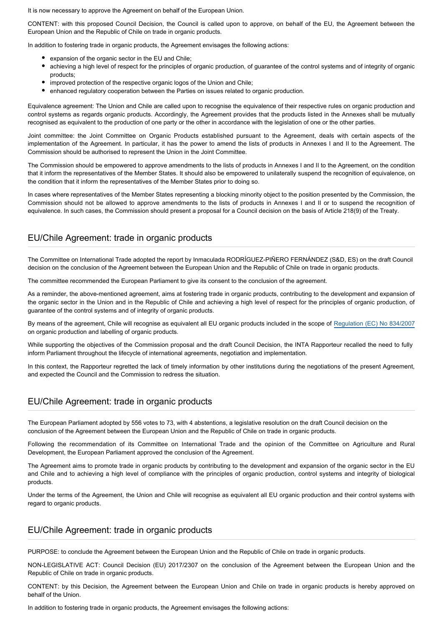It is now necessary to approve the Agreement on behalf of the European Union.

CONTENT: with this proposed Council Decision, the Council is called upon to approve, on behalf of the EU, the Agreement between the European Union and the Republic of Chile on trade in organic products.

In addition to fostering trade in organic products, the Agreement envisages the following actions:

- expansion of the organic sector in the EU and Chile;
- achieving a high level of respect for the principles of organic production, of guarantee of the control systems and of integrity of organic products;
- improved protection of the respective organic logos of the Union and Chile;
- enhanced regulatory cooperation between the Parties on issues related to organic production.

Equivalence agreement: The Union and Chile are called upon to recognise the equivalence of their respective rules on organic production and control systems as regards organic products. Accordingly, the Agreement provides that the products listed in the Annexes shall be mutually recognised as equivalent to the production of one party or the other in accordance with the legislation of one or the other parties.

Joint committee: the Joint Committee on Organic Products established pursuant to the Agreement, deals with certain aspects of the implementation of the Agreement. In particular, it has the power to amend the lists of products in Annexes I and II to the Agreement. The Commission should be authorised to represent the Union in the Joint Committee.

The Commission should be empowered to approve amendments to the lists of products in Annexes I and II to the Agreement, on the condition that it inform the representatives of the Member States. It should also be empowered to unilaterally suspend the recognition of equivalence, on the condition that it inform the representatives of the Member States prior to doing so.

In cases where representatives of the Member States representing a blocking minority object to the position presented by the Commission, the Commission should not be allowed to approve amendments to the lists of products in Annexes I and II or to suspend the recognition of equivalence. In such cases, the Commission should present a proposal for a Council decision on the basis of Article 218(9) of the Treaty.

## EU/Chile Agreement: trade in organic products

The Committee on International Trade adopted the report by Inmaculada RODRÍGUEZ-PIÑERO FERNÁNDEZ (S&D, ES) on the draft Council decision on the conclusion of the Agreement between the European Union and the Republic of Chile on trade in organic products.

The committee recommended the European Parliament to give its consent to the conclusion of the agreement.

As a reminder, the above-mentioned agreement, aims at fostering trade in organic products, contributing to the development and expansion of the organic sector in the Union and in the Republic of Chile and achieving a high level of respect for the principles of organic production, of guarantee of the control systems and of integrity of organic products.

By means of the agreement, Chile will recognise as equivalent all EU organic products included in the scope of [Regulation \(EC\) No 834/2007](http://eur-lex.europa.eu/legal-content/EN/TXT/PDF/?uri=CELEX:02007R0834-20130701&qid=1504517882400&from=EN) on organic production and labelling of organic products.

While supporting the objectives of the Commission proposal and the draft Council Decision, the INTA Rapporteur recalled the need to fully inform Parliament throughout the lifecycle of international agreements, negotiation and implementation.

In this context, the Rapporteur regretted the lack of timely information by other institutions during the negotiations of the present Agreement, and expected the Council and the Commission to redress the situation.

## EU/Chile Agreement: trade in organic products

The European Parliament adopted by 556 votes to 73, with 4 abstentions, a legislative resolution on the draft Council decision on the conclusion of the Agreement between the European Union and the Republic of Chile on trade in organic products.

Following the recommendation of its Committee on International Trade and the opinion of the Committee on Agriculture and Rural Development, the European Parliament approved the conclusion of the Agreement.

The Agreement aims to promote trade in organic products by contributing to the development and expansion of the organic sector in the EU and Chile and to achieving a high level of compliance with the principles of organic production, control systems and integrity of biological products.

Under the terms of the Agreement, the Union and Chile will recognise as equivalent all EU organic production and their control systems with regard to organic products.

## EU/Chile Agreement: trade in organic products

PURPOSE: to conclude the Agreement between the European Union and the Republic of Chile on trade in organic products.

NON-LEGISLATIVE ACT: Council Decision (EU) 2017/2307 on the conclusion of the Agreement between the European Union and the Republic of Chile on trade in organic products.

CONTENT: by this Decision, the Agreement between the European Union and Chile on trade in organic products is hereby approved on behalf of the Union.

In addition to fostering trade in organic products, the Agreement envisages the following actions: